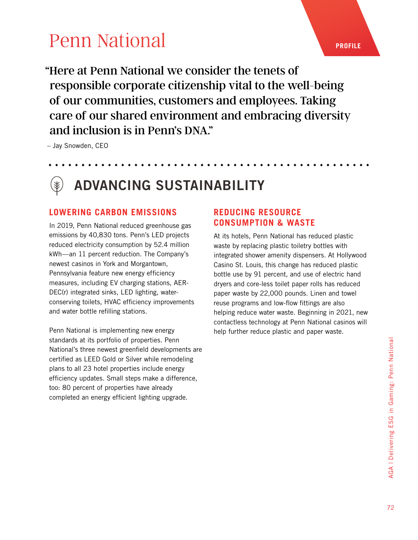"Here at Penn National we consider the tenets of responsible corporate citizenship vital to the well-being of our communities, customers and employees. Taking care of our shared environment and embracing diversity and inclusion is in Penn's DNA."

– Jay Snowden, CEO

## ADVANCING SUSTAINABILITY

#### **LOWERING CARBON EMISSIONS**

In 2019, Penn National reduced greenhouse gas emissions by 40,830 tons. Penn's LED projects reduced electricity consumption by 52.4 million kWh—an 11 percent reduction. The Company's newest casinos in York and Morgantown, Pennsylvania feature new energy efficiency measures, including EV charging stations, AER-DEC(r) integrated sinks, LED lighting, waterconserving toilets, HVAC efficiency improvements and water bottle refilling stations.

Penn National is implementing new energy standards at its portfolio of properties. Penn National's three newest greenfield developments are certified as LEED Gold or Silver while remodeling plans to all 23 hotel properties include energy efficiency updates. Small steps make a difference, too: 80 percent of properties have already completed an energy efficient lighting upgrade.

#### **REDUCING RESOURCE CONSUMPTION & WASTE**

At its hotels, Penn National has reduced plastic waste by replacing plastic toiletry bottles with integrated shower amenity dispensers. At Hollywood Casino St. Louis, this change has reduced plastic bottle use by 91 percent, and use of electric hand dryers and core-less toilet paper rolls has reduced paper waste by 22,000 pounds. Linen and towel reuse programs and low-flow fittings are also helping reduce water waste. Beginning in 2021, new contactless technology at Penn National casinos will help further reduce plastic and paper waste.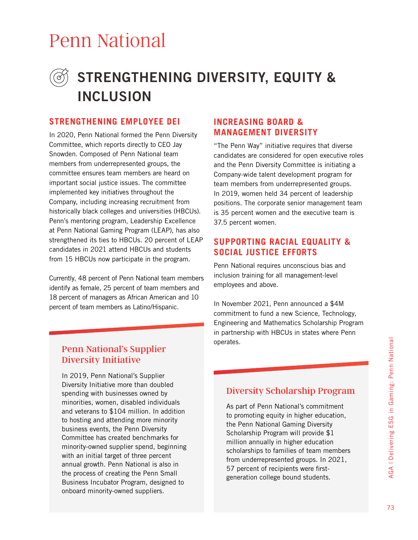### STRENGTHENING DIVERSITY, EQUITY & INCLUSION

#### **STRENGTHENING EMPLOYEE DEI**

In 2020, Penn National formed the Penn Diversity Committee, which reports directly to CEO Jay Snowden. Composed of Penn National team members from underrepresented groups, the committee ensures team members are heard on important social justice issues. The committee implemented key initiatives throughout the Company, including increasing recruitment from historically black colleges and universities (HBCUs). Penn's mentoring program, Leadership Excellence at Penn National Gaming Program (LEAP), has also strengthened its ties to HBCUs. 20 percent of LEAP candidates in 2021 attend HBCUs and students from 15 HBCUs now participate in the program.

Currently, 48 percent of Penn National team members identify as female, 25 percent of team members and 18 percent of managers as African American and 10 percent of team members as Latino/Hispanic.

#### **INCREASING BOARD & MANAGEMENT DIVERSITY**

"The Penn Way" initiative requires that diverse candidates are considered for open executive roles and the Penn Diversity Committee is initiating a Company-wide talent development program for team members from underrepresented groups. In 2019, women held 34 percent of leadership positions. The corporate senior management team is 35 percent women and the executive team is 37.5 percent women.

#### **SUPPORTING RACIAL EQUALITY & SOCIAL JUSTICE EFFORTS**

Penn National requires unconscious bias and inclusion training for all management-level employees and above.

In November 2021, Penn announced a \$4M commitment to fund a new Science, Technology, Engineering and Mathematics Scholarship Program in partnership with HBCUs in states where Penn operates.

#### Penn National's Supplier Diversity Initiative

In 2019, Penn National's Supplier Diversity Initiative more than doubled spending with businesses owned by minorities, women, disabled individuals and veterans to \$104 million. In addition to hosting and attending more minority business events, the Penn Diversity Committee has created benchmarks for minority-owned supplier spend, beginning with an initial target of three percent annual growth. Penn National is also in the process of creating the Penn Small Business Incubator Program, designed to onboard minority-owned suppliers.

#### Diversity Scholarship Program

As part of Penn National's commitment to promoting equity in higher education, the Penn National Gaming Diversity Scholarship Program will provide \$1 million annually in higher education scholarships to families of team members from underrepresented groups. In 2021, 57 percent of recipients were firstgeneration college bound students.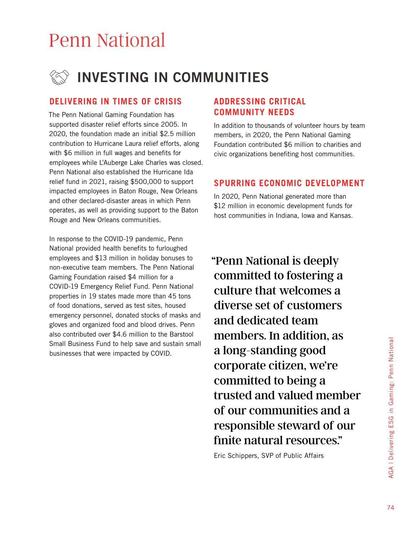

#### **DELIVERING IN TIMES OF CRISIS**

The Penn National Gaming Foundation has supported disaster relief efforts since 2005. In 2020, the foundation made an initial \$2.5 million contribution to Hurricane Laura relief efforts, along with \$6 million in full wages and benefits for employees while L'Auberge Lake Charles was closed. Penn National also established the Hurricane Ida relief fund in 2021, raising \$500,000 to support impacted employees in Baton Rouge, New Orleans and other declared-disaster areas in which Penn operates, as well as providing support to the Baton Rouge and New Orleans communities.

In response to the COVID-19 pandemic, Penn National provided health benefits to furloughed employees and \$13 million in holiday bonuses to non-executive team members. The Penn National Gaming Foundation raised \$4 million for a COVID-19 Emergency Relief Fund. Penn National properties in 19 states made more than 45 tons of food donations, served as test sites, housed emergency personnel, donated stocks of masks and gloves and organized food and blood drives. Penn also contributed over \$4.6 million to the Barstool Small Business Fund to help save and sustain small businesses that were impacted by COVID.

#### **ADDRESSING CRITICAL COMMUNITY NEEDS**

In addition to thousands of volunteer hours by team members, in 2020, the Penn National Gaming Foundation contributed \$6 million to charities and civic organizations benefiting host communities.

#### **SPURRING ECONOMIC DEVELOPMENT**

In 2020, Penn National generated more than \$12 million in economic development funds for host communities in Indiana, Iowa and Kansas.

"Penn National is deeply committed to fostering a culture that welcomes a diverse set of customers and dedicated team members. In addition, as a long-standing good corporate citizen, we're committed to being a trusted and valued member of our communities and a responsible steward of our finite natural resources."

Eric Schippers, SVP of Public Affairs